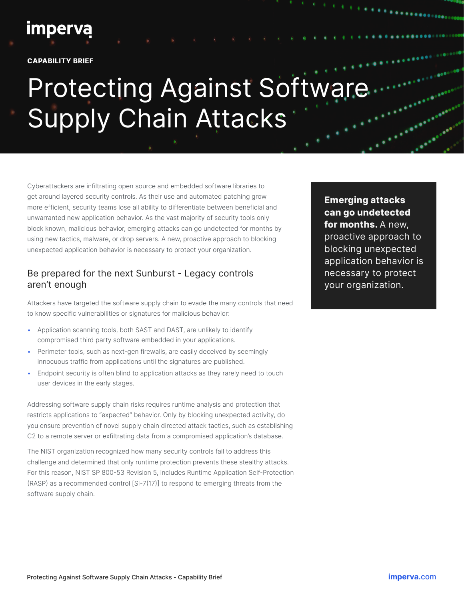## **imperva**

**CAPABILITY BRIEF**

# Protecting Against Software Supply Chain Attacks

Cyberattackers are infiltrating open source and embedded software libraries to get around layered security controls. As their use and automated patching grow more efficient, security teams lose all ability to differentiate between beneficial and unwarranted new application behavior. As the vast majority of security tools only block known, malicious behavior, emerging attacks can go undetected for months by using new tactics, malware, or drop servers. A new, proactive approach to blocking unexpected application behavior is necessary to protect your organization.

#### Be prepared for the next Sunburst - Legacy controls aren't enough

Attackers have targeted the software supply chain to evade the many controls that need to know specific vulnerabilities or signatures for malicious behavior:

- Application scanning tools, both SAST and DAST, are unlikely to identify compromised third party software embedded in your applications.
- Perimeter tools, such as next-gen firewalls, are easily deceived by seemingly innocuous traffic from applications until the signatures are published.
- Endpoint security is often blind to application attacks as they rarely need to touch user devices in the early stages.

Addressing software supply chain risks requires runtime analysis and protection that restricts applications to "expected" behavior. Only by blocking unexpected activity, do you ensure prevention of novel supply chain directed attack tactics, such as establishing C2 to a remote server or exfiltrating data from a compromised application's database.

The NIST organization recognized how many security controls fail to address this challenge and determined that only runtime protection prevents these stealthy attacks. For this reason, NIST SP 800-53 Revision 5, includes Runtime Application Self-Protection (RASP) as a recommended control [SI-7(17)] to respond to emerging threats from the software supply chain.

**Emerging attacks can go undetected for months.** A new, proactive approach to blocking unexpected application behavior is necessary to protect your organization.